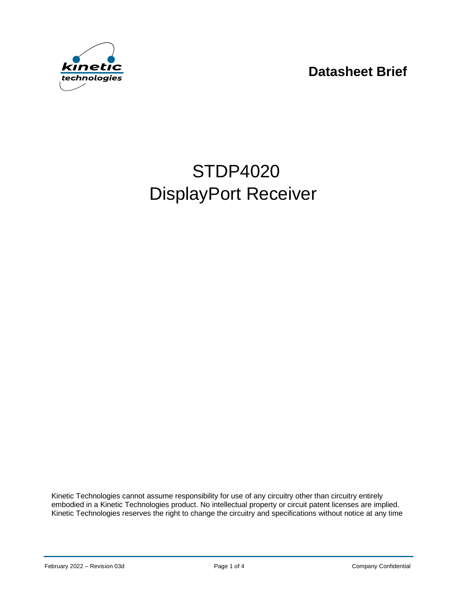**Datasheet Brief**



# STDP4020 DisplayPort Receiver

Kinetic Technologies cannot assume responsibility for use of any circuitry other than circuitry entirely embodied in a Kinetic Technologies product. No intellectual property or circuit patent licenses are implied. Kinetic Technologies reserves the right to change the circuitry and specifications without notice at any time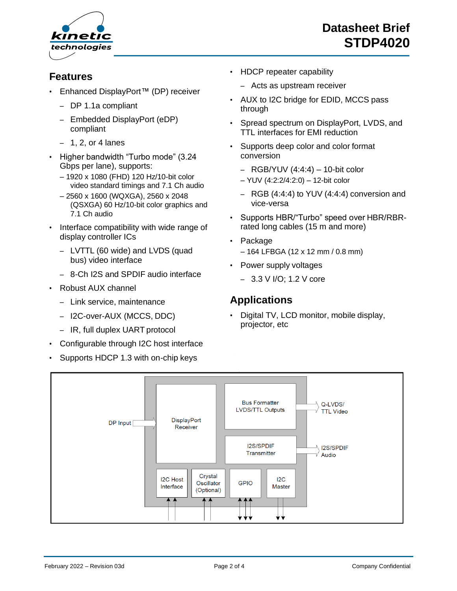

#### **Features**

- Enhanced DisplayPort™ (DP) receiver
	- DP 1.1a compliant
	- Embedded DisplayPort (eDP) compliant
	- $-1$ , 2, or 4 lanes
- Higher bandwidth "Turbo mode" (3.24 Gbps per lane), supports:
	- 1920 x 1080 (FHD) 120 Hz/10-bit color video standard timings and 7.1 Ch audio
	- 2560 x 1600 (WQXGA), 2560 x 2048 (QSXGA) 60 Hz/10-bit color graphics and 7.1 Ch audio
- Interface compatibility with wide range of display controller ICs
	- LVTTL (60 wide) and LVDS (quad bus) video interface
	- 8-Ch I2S and SPDIF audio interface
- Robust AUX channel
	- Link service, maintenance
	- I2C-over-AUX (MCCS, DDC)
	- IR, full duplex UART protocol
- Configurable through I2C host interface
- Supports HDCP 1.3 with on-chip keys
- HDCP repeater capability
	- Acts as upstream receiver
- AUX to I2C bridge for EDID, MCCS pass through
- Spread spectrum on DisplayPort, LVDS, and TTL interfaces for EMI reduction
- Supports deep color and color format conversion
	- $-$  RGB/YUV (4:4:4)  $-$  10-bit color
	- YUV (4:2:2/4:2:0) 12-bit color
	- RGB (4:4:4) to YUV (4:4:4) conversion and vice-versa
- Supports HBR/"Turbo" speed over HBR/RBRrated long cables (15 m and more)
- Package – 164 LFBGA (12 x 12 mm / 0.8 mm)
- Power supply voltages
	- 3.3 V I/O; 1.2 V core

#### **Applications**

• Digital TV, LCD monitor, mobile display, projector, etc

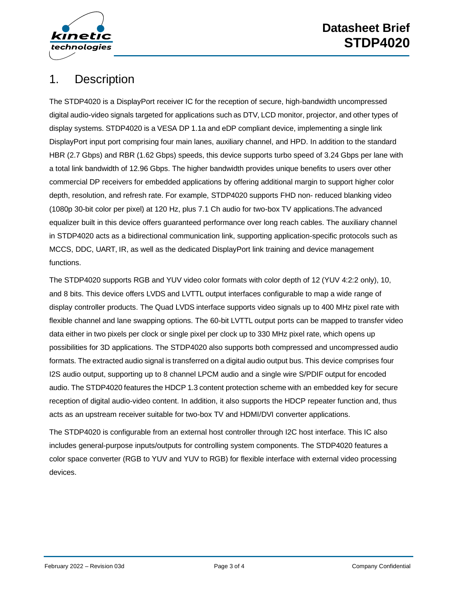

# 1. Description

The STDP4020 is a DisplayPort receiver IC for the reception of secure, high-bandwidth uncompressed digital audio-video signals targeted for applications such as DTV, LCD monitor, projector, and other types of display systems. STDP4020 is a VESA DP 1.1a and eDP compliant device, implementing a single link DisplayPort input port comprising four main lanes, auxiliary channel, and HPD. In addition to the standard HBR (2.7 Gbps) and RBR (1.62 Gbps) speeds, this device supports turbo speed of 3.24 Gbps per lane with a total link bandwidth of 12.96 Gbps. The higher bandwidth provides unique benefits to users over other commercial DP receivers for embedded applications by offering additional margin to support higher color depth, resolution, and refresh rate. For example, STDP4020 supports FHD non- reduced blanking video (1080p 30-bit color per pixel) at 120 Hz, plus 7.1 Ch audio for two-box TV applications.The advanced equalizer built in this device offers guaranteed performance over long reach cables. The auxiliary channel in STDP4020 acts as a bidirectional communication link, supporting application-specific protocols such as MCCS, DDC, UART, IR, as well as the dedicated DisplayPort link training and device management functions.

The STDP4020 supports RGB and YUV video color formats with color depth of 12 (YUV 4:2:2 only), 10, and 8 bits. This device offers LVDS and LVTTL output interfaces configurable to map a wide range of display controller products. The Quad LVDS interface supports video signals up to 400 MHz pixel rate with flexible channel and lane swapping options. The 60-bit LVTTL output ports can be mapped to transfer video data either in two pixels per clock or single pixel per clock up to 330 MHz pixel rate, which opens up possibilities for 3D applications. The STDP4020 also supports both compressed and uncompressed audio formats. The extracted audio signal is transferred on a digital audio output bus. This device comprises four I2S audio output, supporting up to 8 channel LPCM audio and a single wire S/PDIF output for encoded audio. The STDP4020 features the HDCP 1.3 content protection scheme with an embedded key for secure reception of digital audio-video content. In addition, it also supports the HDCP repeater function and, thus acts as an upstream receiver suitable for two-box TV and HDMI/DVI converter applications.

The STDP4020 is configurable from an external host controller through I2C host interface. This IC also includes general-purpose inputs/outputs for controlling system components. The STDP4020 features a color space converter (RGB to YUV and YUV to RGB) for flexible interface with external video processing devices.